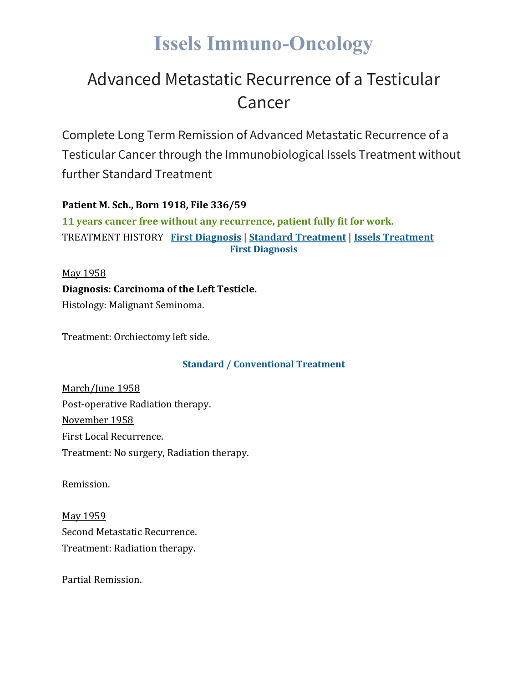# **Issels Immuno-Oncology**

## Advanced Metastatic Recurrence of a Testicular Cancer

Complete Long Term Remission of Advanced Metastatic Recurrence of a Testicular Cancer through the Immunobiological Issels Treatment without further Standard Treatment

### **Patient M. Sch., Born 1918, File 336/59**

**11 years cancer free without any recurrence, patient fully fit for work.** TREATMENT HISTORY **First [Diagnosis](https://issels.com/cancer-cases/testicular-2-advanced-metastatic-recurrence-of-testicular-cancer/#First)** | **Standard [Treatment](https://issels.com/cancer-cases/testicular-2-advanced-metastatic-recurrence-of-testicular-cancer/#Standard)** | **Issels [Treatment](https://issels.com/cancer-cases/testicular-2-advanced-metastatic-recurrence-of-testicular-cancer/#Issels) First Diagnosis**

May 1958 **Diagnosis: Carcinoma of the Left Testicle.** Histology: Malignant Seminoma.

Treatment: Orchiectomy left side.

### **Standard / Conventional Treatment**

March/June 1958 Post-operative Radiation therapy. November 1958 First Local Recurrence. Treatment: No surgery, Radiation therapy.

Remission.

May 1959 Second Metastatic Recurrence. Treatment: Radiation therapy.

Partial Remission.